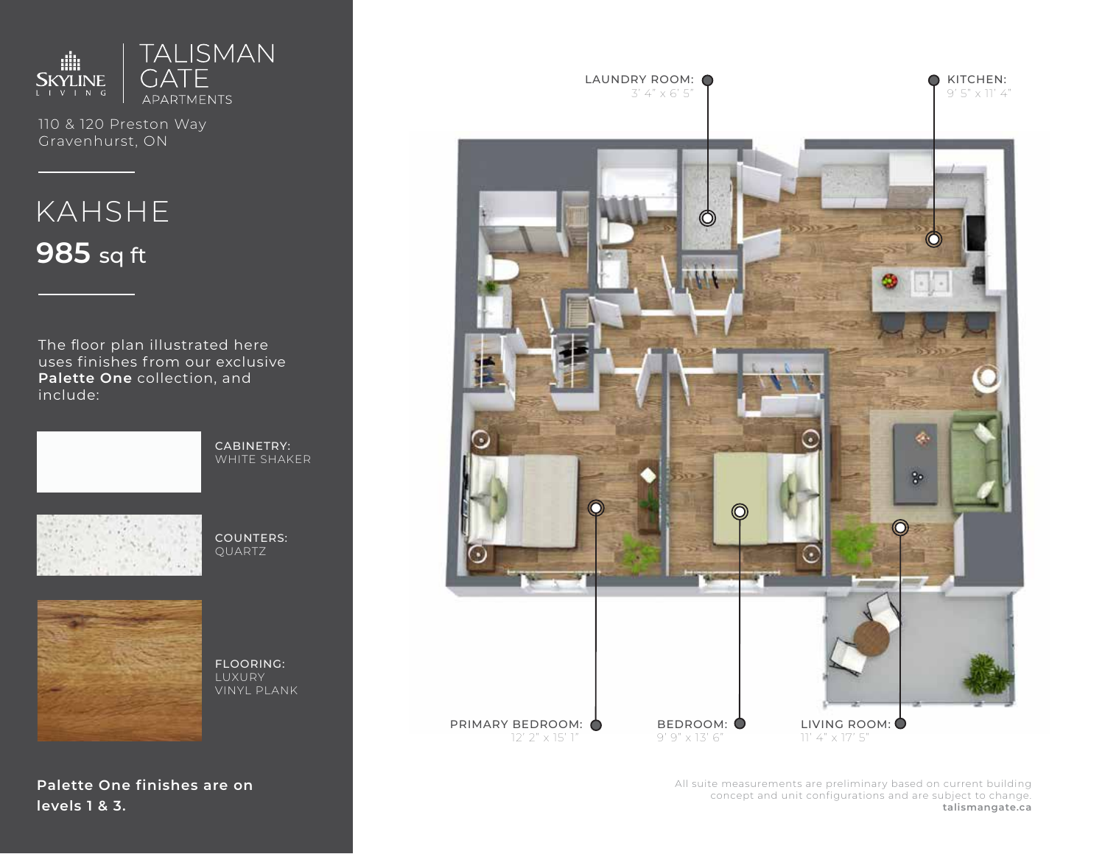

110 & 120 Preston Way Gravenhurst, ON

# KAHSHE **985** sq ft

The floor plan illustrated here uses finishes from our exclusive **Palette One** collection, and include:



CABINETRY: WHITE SHAKER



COUNTERS: QUARTZ



FLOORING: LUXURY VINYL PLANK

**Palette One finishes are on levels 1 & 3.**



All suite measurements are preliminary based on current building concept and unit configurations and are subject to change. **talismangate.ca**